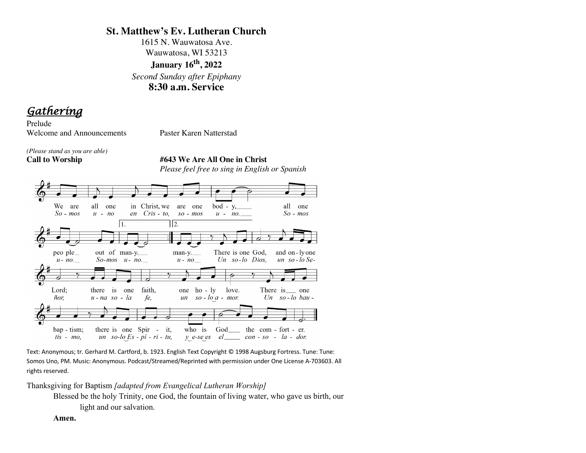# **St. Matthew's Ev. Lutheran Church**

1615 N. Wauwatosa Ave. Wauwatosa, WI 53213 **January 16th, 2022**  *Second Sunday after Epiphany* **8:30 a.m. Service**

*Gathering* 

Prelude Welcome and Announcements Paster Karen Natterstad

*(Please stand as you are able)*

**Call to Worship #643 We Are All One in Christ** *Please feel free to sing in English or Spanish*



Text: Anonymous; tr. Gerhard M. Cartford, b. 1923. English Text Copyright © 1998 Augsburg Fortress. Tune: Tune: Somos Uno, PM. Music: Anonymous. Podcast/Streamed/Reprinted with permission under One License A-703603. All rights reserved.

Thanksgiving for Baptism *[adapted from Evangelical Lutheran Worship]*

Blessed be the holy Trinity, one God, the fountain of living water, who gave us birth, our light and our salvation.

**Amen.**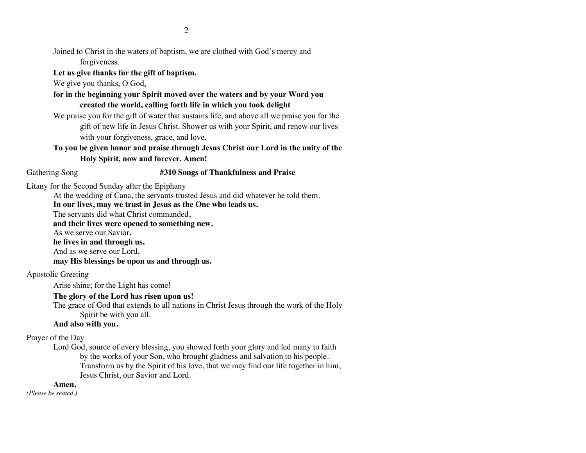Joined to Christ in the waters of baptism, we are clothed with God's mercy and forgiveness.

**Let us give thanks for the gift of baptism.**

We give you thanks, O God,

**for in the beginning your Spirit moved over the waters and by your Word you created the world, calling forth life in which you took delight**

We praise you for the gift of water that sustains life, and above all we praise you for the gift of new life in Jesus Christ. Shower us with your Spirit, and renew our lives with your forgiveness, grace, and love.

**To you be given honor and praise through Jesus Christ our Lord in the unity of the Holy Spirit, now and forever. Amen!**

#### Gathering Song **#310 Songs of Thankfulness and Praise**

Litany for the Second Sunday after the Epiphany

At the wedding of Cana, the servants trusted Jesus and did whatever he told them.

**In our lives, may we trust in Jesus as the One who leads us.**

The servants did what Christ commanded,

**and their lives were opened to something new.**

As we serve our Savior,

**he lives in and through us.**

And as we serve our Lord,

**may His blessings be upon us and through us.**

Apostolic Greeting

Arise shine; for the Light has come!

# **The glory of the Lord has risen upon us!**

The grace of God that extends to all nations in Christ Jesus through the work of the Holy Spirit be with you all.

# **And also with you.**

Prayer of the Day

Lord God, source of every blessing, you showed forth your glory and led many to faith by the works of your Son, who brought gladness and salvation to his people. Transform us by the Spirit of his love, that we may find our life together in him, Jesus Christ, our Savior and Lord.

# **Amen.**

*(Please be seated.)*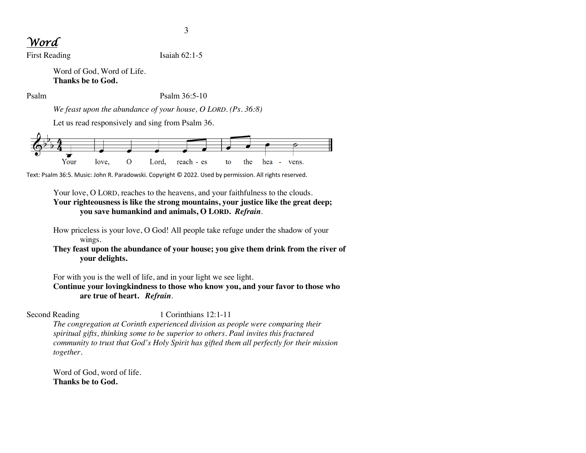# *Word*

First Reading Isaiah 62:1-5

Word of God, Word of Life. **Thanks be to God.**

Psalm Psalm 36:5-10

*We feast upon the abundance of your house, O LORD. (Ps. 36:8)*

Let us read responsively and sing from Psalm 36.



Text: Psalm 36:5. Music: John R. Paradowski. Copyright © 2022. Used by permission. All rights reserved.

Your love, O LORD, reaches to the heavens, and your faithfulness to the clouds. **Your righteousness is like the strong mountains, your justice like the great deep; you save humankind and animals, O LORD.** *Refrain*.

How priceless is your love, O God! All people take refuge under the shadow of your wings.

# **They feast upon the abundance of your house; you give them drink from the river of your delights.**

For with you is the well of life, and in your light we see light.

**Continue your lovingkindness to those who know you, and your favor to those who are true of heart.** *Refrain*.

# Second Reading 1 Corinthians 12:1-11

*The congregation at Corinth experienced division as people were comparing their spiritual gifts, thinking some to be superior to others. Paul invites this fractured community to trust that God's Holy Spirit has gifted them all perfectly for their mission together.*

Word of God, word of life. **Thanks be to God.**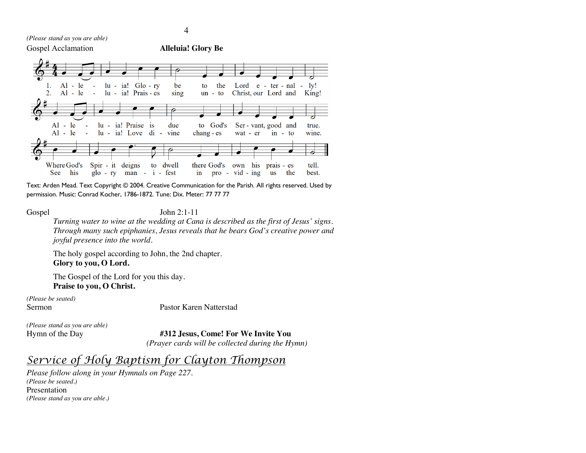*(Please stand as you are able)*



Text: Arden Mead. Text Copyright © 2004. Creative Communication for the Parish. All rights reserved. Used by permission. Music: Conrad Kocher, 1786-1872. Tune: Dix. Meter: 77 77 77

Gospel John 2:1-11

*Turning water to wine at the wedding at Cana is described as the first of Jesus' signs. Through many such epiphanies, Jesus reveals that he bears God's creative power and joyful presence into the world.*

The holy gospel according to John, the 2nd chapter. **Glory to you, O Lord.**

The Gospel of the Lord for you this day. **Praise to you, O Christ.**

*(Please be seated)*

Sermon Pastor Karen Natterstad

*(Please stand as you are able)*

Hymn of the Day **#312 Jesus, Come! For We Invite You** *(Prayer cards will be collected during the Hymn)*

*Service of Holy Baptism for Clayton Thompson*

*Please follow along in your Hymnals on Page 227. (Please be seated.)* Presentation *(Please stand as you are able.)*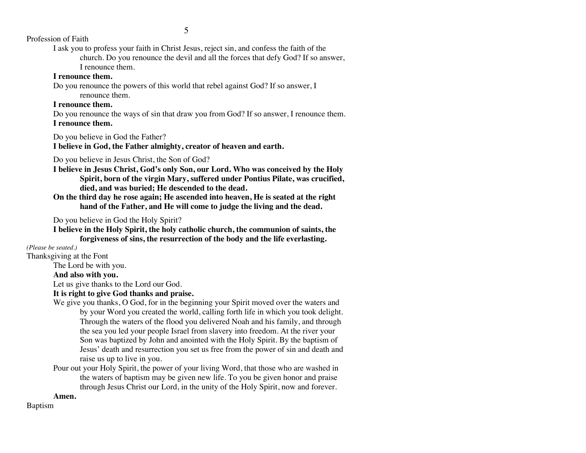5

Profession of Faith

I ask you to profess your faith in Christ Jesus, reject sin, and confess the faith of the church. Do you renounce the devil and all the forces that defy God? If so answer, I renounce them.

### **I renounce them.**

Do you renounce the powers of this world that rebel against God? If so answer, I renounce them.

#### **I renounce them.**

Do you renounce the ways of sin that draw you from God? If so answer, I renounce them. **I renounce them.**

Do you believe in God the Father?

**I believe in God, the Father almighty, creator of heaven and earth.**

Do you believe in Jesus Christ, the Son of God?

- **I believe in Jesus Christ, God's only Son, our Lord. Who was conceived by the Holy Spirit, born of the virgin Mary, suffered under Pontius Pilate, was crucified, died, and was buried; He descended to the dead.**
- **On the third day he rose again; He ascended into heaven, He is seated at the right hand of the Father, and He will come to judge the living and the dead.**

Do you believe in God the Holy Spirit?

**I believe in the Holy Spirit, the holy catholic church, the communion of saints, the forgiveness of sins, the resurrection of the body and the life everlasting.**

#### *(Please be seated.)*

Thanksgiving at the Font

The Lord be with you.

#### **And also with you.**

Let us give thanks to the Lord our God.

#### **It is right to give God thanks and praise.**

- We give you thanks, O God, for in the beginning your Spirit moved over the waters and by your Word you created the world, calling forth life in which you took delight. Through the waters of the flood you delivered Noah and his family, and through the sea you led your people Israel from slavery into freedom. At the river your Son was baptized by John and anointed with the Holy Spirit. By the baptism of Jesus' death and resurrection you set us free from the power of sin and death and raise us up to live in you.
- Pour out your Holy Spirit, the power of your living Word, that those who are washed in the waters of baptism may be given new life. To you be given honor and praise through Jesus Christ our Lord, in the unity of the Holy Spirit, now and forever.

**Amen.**

Baptism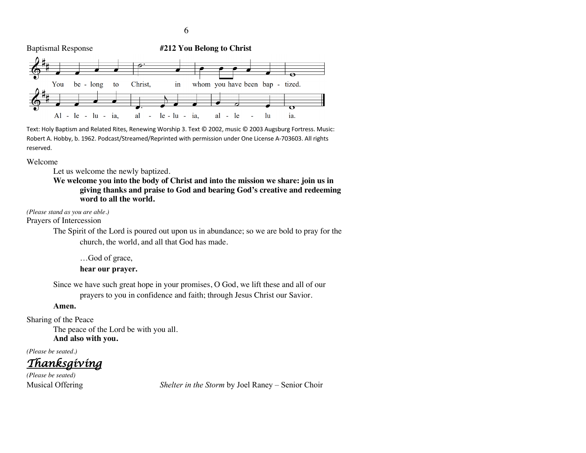

Text: Holy Baptism and Related Rites, Renewing Worship 3. Text © 2002, music © 2003 Augsburg Fortress. Music: Robert A. Hobby, b. 1962. Podcast/Streamed/Reprinted with permission under One License A-703603. All rights reserved.

Welcome

Let us welcome the newly baptized.

**We welcome you into the body of Christ and into the mission we share: join us in giving thanks and praise to God and bearing God's creative and redeeming word to all the world.**

*(Please stand as you are able.)*

Prayers of Intercession

The Spirit of the Lord is poured out upon us in abundance; so we are bold to pray for the church, the world, and all that God has made.

…God of grace, **hear our prayer.**

Since we have such great hope in your promises, O God, we lift these and all of our prayers to you in confidence and faith; through Jesus Christ our Savior.

#### **Amen.**

Sharing of the Peace

The peace of the Lord be with you all. **And also with you.**

*(Please be seated.)*

*Thanksgiving*

*(Please be seated)*

Musical Offering *Shelter in the Storm* by Joel Raney – Senior Choir

6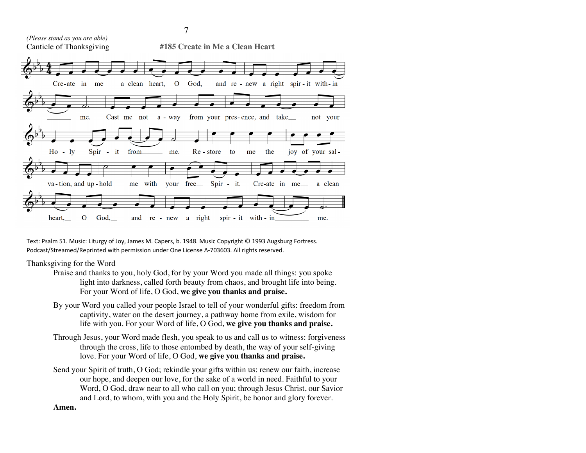

Text: Psalm 51. Music: Liturgy of Joy, James M. Capers, b. 1948. Music Copyright © 1993 Augsburg Fortress. Podcast/Streamed/Reprinted with permission under One License A-703603. All rights reserved.

#### Thanksgiving for the Word

- Praise and thanks to you, holy God, for by your Word you made all things: you spoke light into darkness, called forth beauty from chaos, and brought life into being. For your Word of life, O God, **we give you thanks and praise.**
- By your Word you called your people Israel to tell of your wonderful gifts: freedom from captivity, water on the desert journey, a pathway home from exile, wisdom for life with you. For your Word of life, O God, **we give you thanks and praise.**
- Through Jesus, your Word made flesh, you speak to us and call us to witness: forgiveness through the cross, life to those entombed by death, the way of your self-giving love. For your Word of life, O God, **we give you thanks and praise.**
- Send your Spirit of truth, O God; rekindle your gifts within us: renew our faith, increase our hope, and deepen our love, for the sake of a world in need. Faithful to your Word, O God, draw near to all who call on you; through Jesus Christ, our Savior and Lord, to whom, with you and the Holy Spirit, be honor and glory forever.

#### **Amen.**

7